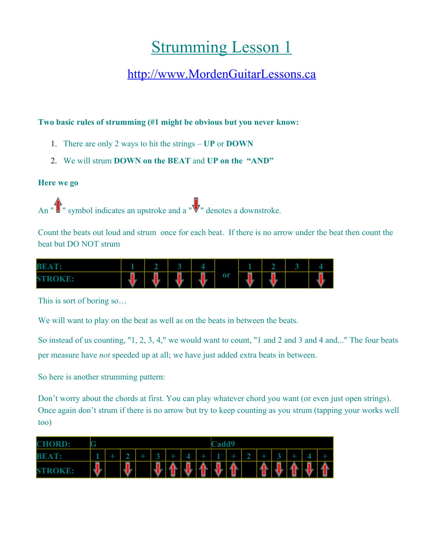## **Strumming Lesson 1**

## [http://www.MordenGuitarLessons.ca](http://www.MordenGuitarLessons.ca/)

## **Two basic rules of strumming (#1 might be obvious but you never know:**

- 1. There are only 2 ways to hit the strings **UP** or **DOWN**
- 2. We will strum **DOWN on the BEAT** and **UP on the "AND"**

## **Here we go**

An " $\sum$ " symbol indicates an upstroke and a " $\nabla$ " denotes a downstroke.

Count the beats out loud and strum once for each beat. If there is no arrow under the beat then count the beat but DO NOT strum

| <b>BE</b><br>$-1$ |        |        |    | $\sim$  |    |         |   |   |
|-------------------|--------|--------|----|---------|----|---------|---|---|
| <b>STROKE:</b>    | 뢳<br>Æ | L<br>V | Į. | þ<br>۲ı | or | 1.<br>v | w | w |

This is sort of boring so…

We will want to play on the beat as well as on the beats in between the beats.

So instead of us counting, "1, 2, 3, 4," we would want to count, "1 and 2 and 3 and 4 and..." The four beats per measure have *not* speeded up at all; we have just added extra beats in between.

So here is another strumming pattern:

Don't worry about the chords at first. You can play whatever chord you want (or even just open strings). Once again don't strum if there is no arrow but try to keep counting as you strum (tapping your works well too)

| <b>CHORD:</b>             | œ       |  |         |  |        |   |        |              | Cadd9    |        |  |        |  |   |        |   |
|---------------------------|---------|--|---------|--|--------|---|--------|--------------|----------|--------|--|--------|--|---|--------|---|
| BB<br>A                   |         |  |         |  |        |   |        | ÷            |          |        |  |        |  |   |        |   |
| <b>ST</b><br><b>ROKE:</b> | Į,<br>w |  | ļ,<br>┫ |  | ļ<br>┫ | h | L<br>ų | æ.<br>Ì<br>А | Ļ<br>- 4 | 个<br>A |  | ľ<br>4 |  | ì | y<br>쿿 | P |